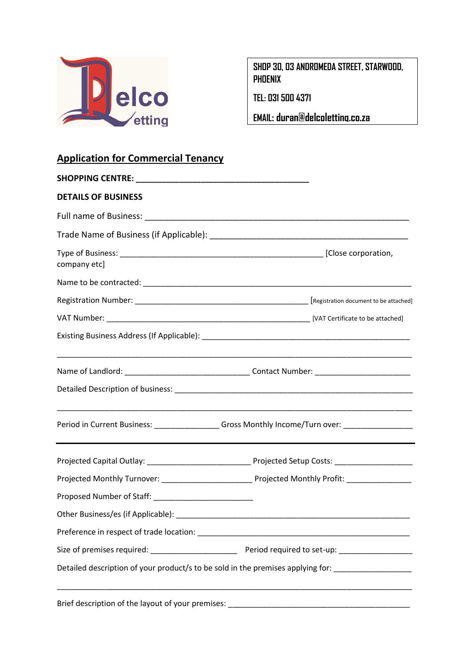

**SHOP 30, 03 ANDROMEDA STREET, STARWOOD, PHOENIX**

**TEL: 031 500 4371**

**EMAIL: duran@delcoletting.co.za**

## **Application for Commercial Tenancy**

| <b>DETAILS OF BUSINESS</b> |                                                                                                     |
|----------------------------|-----------------------------------------------------------------------------------------------------|
|                            |                                                                                                     |
|                            |                                                                                                     |
| company etc]               |                                                                                                     |
|                            |                                                                                                     |
|                            |                                                                                                     |
|                            |                                                                                                     |
|                            |                                                                                                     |
|                            |                                                                                                     |
|                            |                                                                                                     |
|                            | Period in Current Business: __________________Gross Monthly Income/Turn over: _____________________ |
|                            |                                                                                                     |
|                            |                                                                                                     |
|                            |                                                                                                     |
|                            |                                                                                                     |
|                            |                                                                                                     |
|                            |                                                                                                     |
|                            | Detailed description of your product/s to be sold in the premises applying for: ___________________ |
|                            |                                                                                                     |

Brief description of the layout of your premises: \_\_\_\_\_\_\_\_\_\_\_\_\_\_\_\_\_\_\_\_\_\_\_\_\_\_\_\_\_\_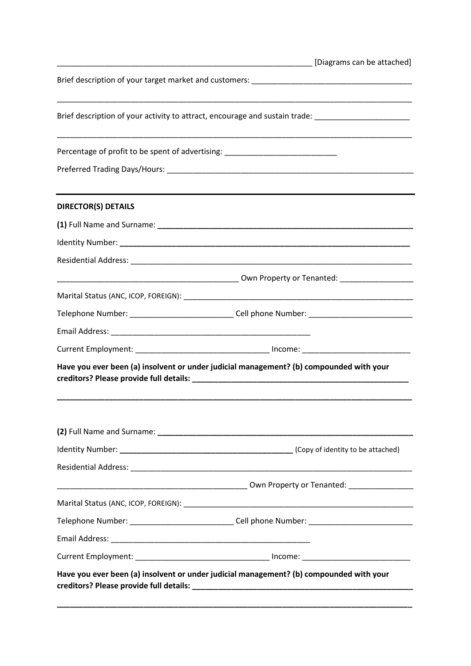|                                                                                  | [Diagrams can be attached]                                                                          |
|----------------------------------------------------------------------------------|-----------------------------------------------------------------------------------------------------|
|                                                                                  |                                                                                                     |
|                                                                                  | Brief description of your activity to attract, encourage and sustain trade: _______________________ |
| Percentage of profit to be spent of advertising: _______________________________ |                                                                                                     |
|                                                                                  |                                                                                                     |
| <b>DIRECTOR(S) DETAILS</b>                                                       |                                                                                                     |
|                                                                                  |                                                                                                     |
|                                                                                  |                                                                                                     |
|                                                                                  |                                                                                                     |
|                                                                                  |                                                                                                     |
|                                                                                  |                                                                                                     |
|                                                                                  | Telephone Number: _______________________________Cell phone Number: _______________________________ |
|                                                                                  |                                                                                                     |
|                                                                                  |                                                                                                     |
|                                                                                  | Have you ever been (a) insolvent or under judicial management? (b) compounded with your             |
|                                                                                  |                                                                                                     |
|                                                                                  |                                                                                                     |
|                                                                                  |                                                                                                     |
|                                                                                  |                                                                                                     |
|                                                                                  |                                                                                                     |
|                                                                                  | Telephone Number: _______________________________Cell phone Number: _______________________________ |
|                                                                                  |                                                                                                     |
|                                                                                  |                                                                                                     |

**\_\_\_\_\_\_\_\_\_\_\_\_\_\_\_\_\_\_\_\_\_\_\_\_\_\_\_\_\_\_\_\_\_\_\_\_\_\_\_\_\_\_\_\_\_\_\_\_\_\_\_\_\_\_\_\_\_\_\_\_\_\_\_\_\_\_\_\_\_\_\_\_\_\_\_\_\_\_\_\_\_\_**